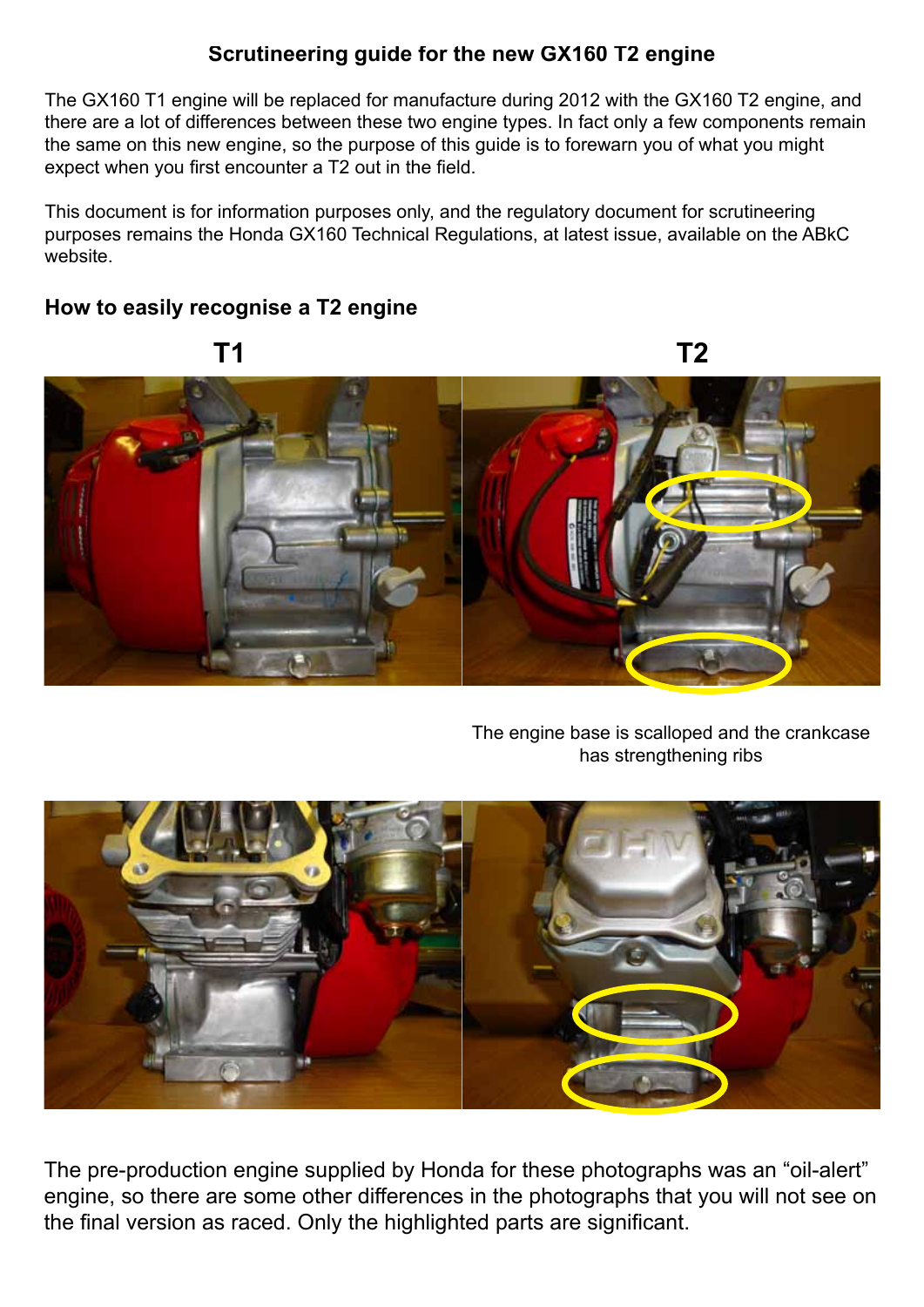# **Scrutineering guide for the new GX160 T2 engine**

The GX160 T1 engine will be replaced for manufacture during 2012 with the GX160 T2 engine, and there are a lot of differences between these two engine types. In fact only a few components remain the same on this new engine, so the purpose of this guide is to forewarn you of what you might expect when you first encounter a T2 out in the field.

This document is for information purposes only, and the regulatory document for scrutineering purposes remains the Honda GX160 Technical Regulations, at latest issue, available on the ABkC website.

## **How to easily recognise a T2 engine**



The engine base is scalloped and the crankcase has strengthening ribs



The pre-production engine supplied by Honda for these photographs was an "oil-alert" engine, so there are some other differences in the photographs that you will not see on the final version as raced. Only the highlighted parts are significant.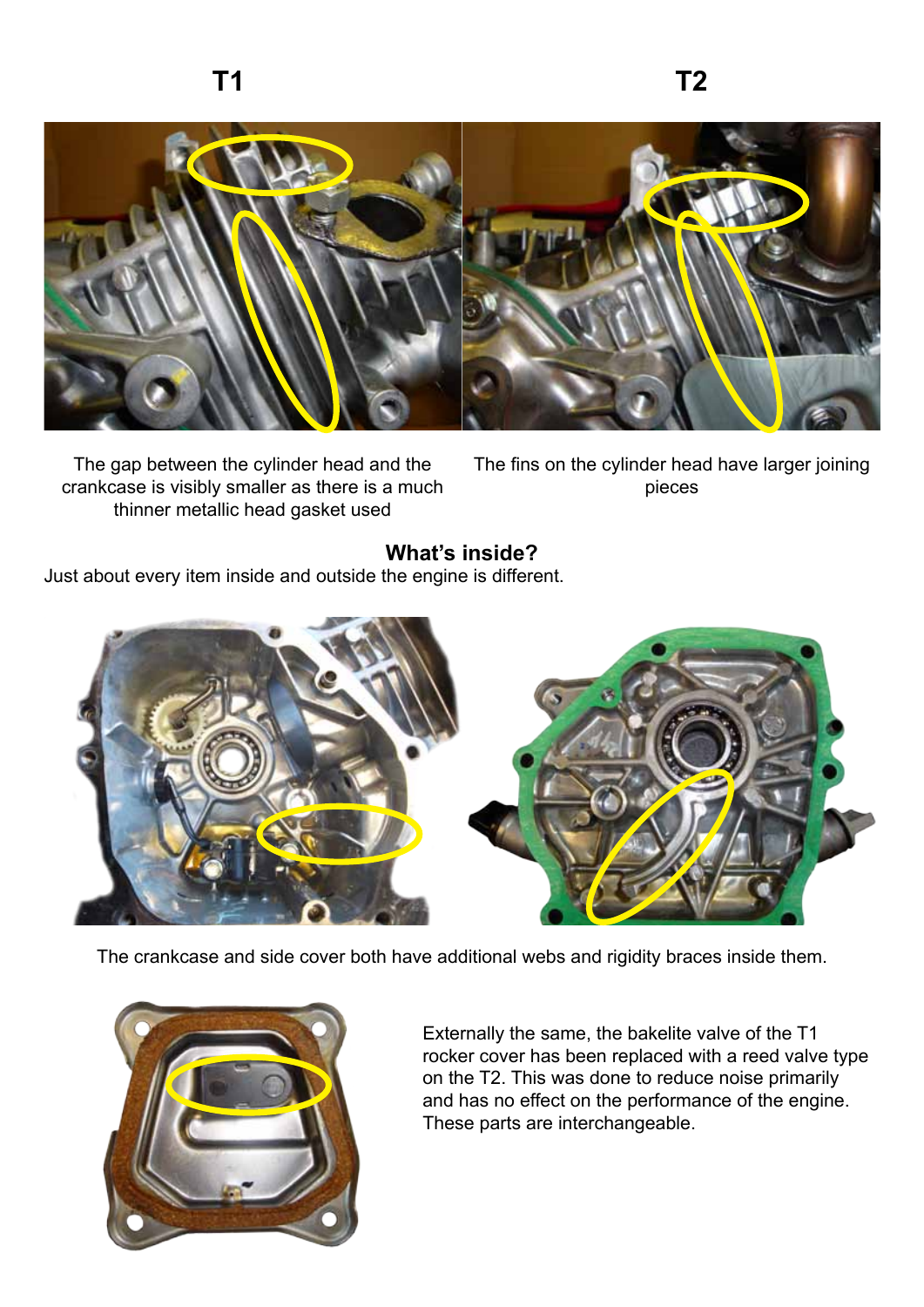

The gap between the cylinder head and the crankcase is visibly smaller as there is a much thinner metallic head gasket used

The fins on the cylinder head have larger joining pieces

### **What's inside?**

Just about every item inside and outside the engine is different.



The crankcase and side cover both have additional webs and rigidity braces inside them.



Externally the same, the bakelite valve of the T1 rocker cover has been replaced with a reed valve type on the T2. This was done to reduce noise primarily and has no effect on the performance of the engine. These parts are interchangeable.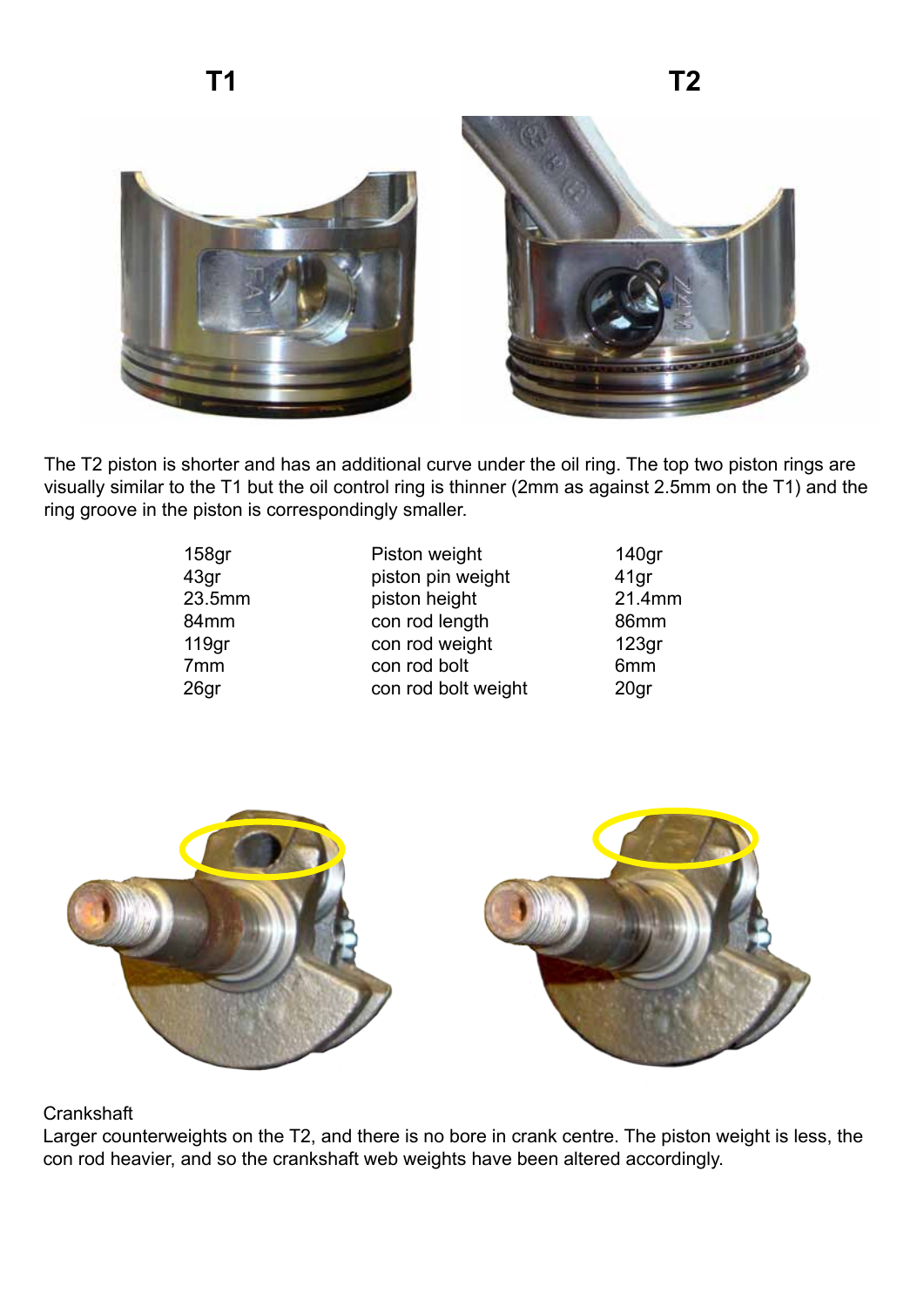

The T2 piston is shorter and has an additional curve under the oil ring. The top two piston rings are visually similar to the T1 but the oil control ring is thinner (2mm as against 2.5mm on the T1) and the ring groove in the piston is correspondingly smaller.

| 158 <sub>gr</sub> | Piston weight       | 140 <sub>gr</sub> |
|-------------------|---------------------|-------------------|
| 43gr              | piston pin weight   | 41 <sub>gr</sub>  |
| 23.5mm            | piston height       | 21.4mm            |
| 84mm              | con rod length      | 86mm              |
| 119 <sub>gr</sub> | con rod weight      | 123 <sub>gr</sub> |
| 7 <sub>mm</sub>   | con rod bolt        | 6mm               |
| 26gr              | con rod bolt weight | 20 <sub>gr</sub>  |



#### **Crankshaft**

Larger counterweights on the T2, and there is no bore in crank centre. The piston weight is less, the con rod heavier, and so the crankshaft web weights have been altered accordingly.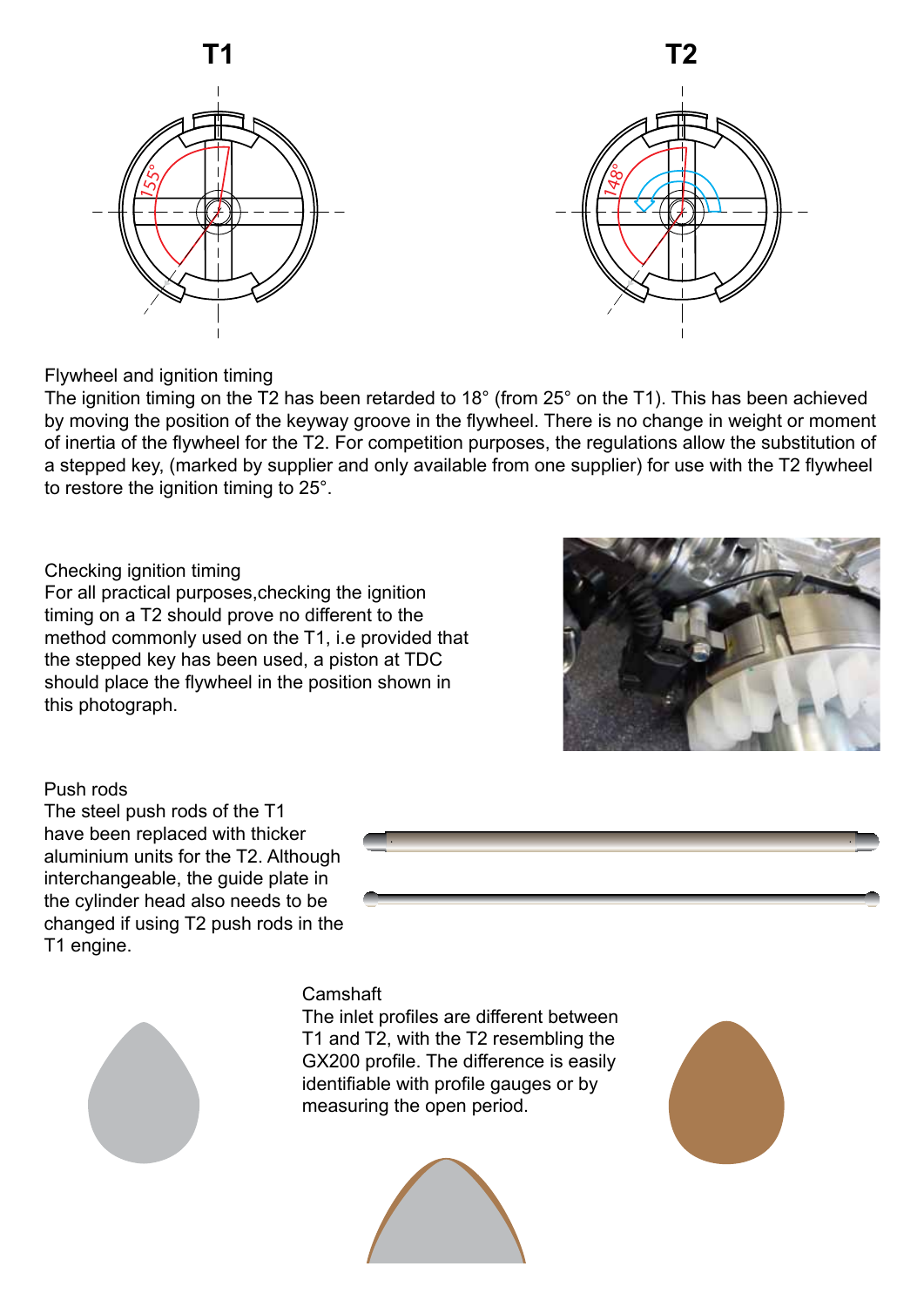



Flywheel and ignition timing

The ignition timing on the T2 has been retarded to 18° (from 25° on the T1). This has been achieved by moving the position of the keyway groove in the flywheel. There is no change in weight or moment of inertia of the flywheel for the T2. For competition purposes, the regulations allow the substitution of a stepped key, (marked by supplier and only available from one supplier) for use with the T2 flywheel to restore the ignition timing to 25°.

#### Checking ignition timing

For all practical purposes,checking the ignition timing on a T2 should prove no different to the method commonly used on the T1, i.e provided that the stepped key has been used, a piston at TDC should place the flywheel in the position shown in this photograph.



#### Push rods

The steel push rods of the T1 have been replaced with thicker aluminium units for the T2. Although interchangeable, the guide plate in the cylinder head also needs to be changed if using T2 push rods in the T1 engine.





#### Camshaft

The inlet profiles are different between T1 and T2, with the T2 resembling the GX200 profile. The difference is easily identifiable with profile gauges or by measuring the open period.



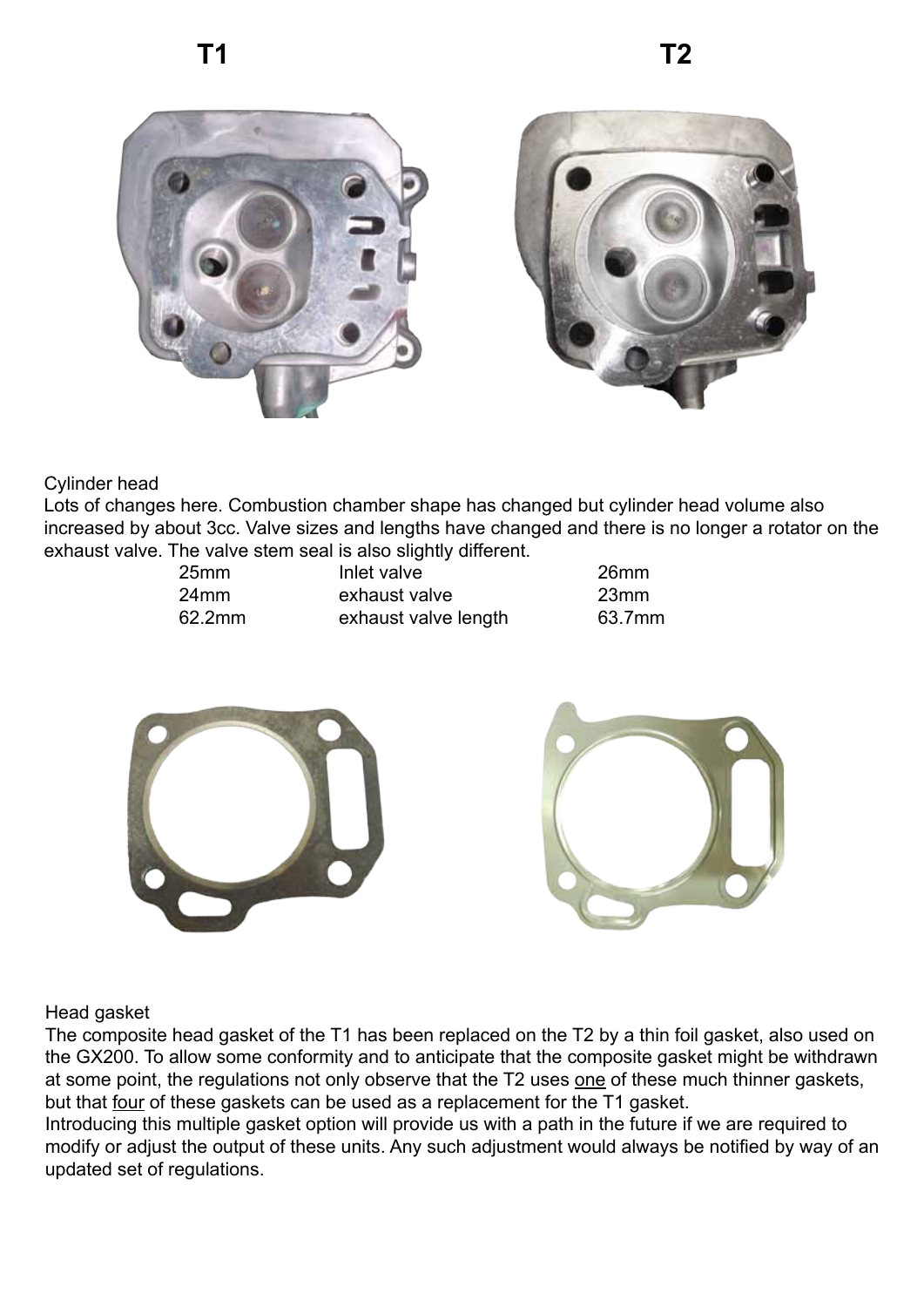



### Cylinder head

Lots of changes here. Combustion chamber shape has changed but cylinder head volume also increased by about 3cc. Valve sizes and lengths have changed and there is no longer a rotator on the exhaust valve. The valve stem seal is also slightly different.

| 25mm   |
|--------|
| 24mm   |
| 62 2mn |

- 25mm Inlet valve 26mm exhaust valve 23mm 62.2mm exhaust valve length 63.7mm
	-



Head gasket

The composite head gasket of the T1 has been replaced on the T2 by a thin foil gasket, also used on the GX200. To allow some conformity and to anticipate that the composite gasket might be withdrawn at some point, the regulations not only observe that the T2 uses one of these much thinner gaskets, but that four of these gaskets can be used as a replacement for the T1 gasket.

Introducing this multiple gasket option will provide us with a path in the future if we are required to modify or adjust the output of these units. Any such adjustment would always be notified by way of an updated set of regulations.